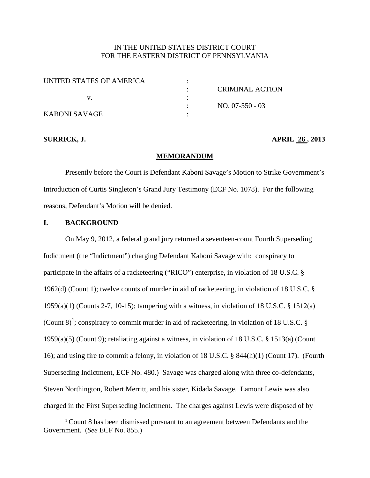## IN THE UNITED STATES DISTRICT COURT FOR THE EASTERN DISTRICT OF PENNSYLVANIA

| UNITED STATES OF AMERICA |                 |
|--------------------------|-----------------|
|                          | CRIMINAL ACTION |
|                          |                 |
|                          | $NO. 07-550-03$ |
| KABONI SAVAGE            |                 |

#### **SURRICK, J. APRIL 26 , 2013**

#### **MEMORANDUM**

Presently before the Court is Defendant Kaboni Savage's Motion to Strike Government's Introduction of Curtis Singleton's Grand Jury Testimony (ECF No. 1078). For the following reasons, Defendant's Motion will be denied.

## **I. BACKGROUND**

On May 9, 2012, a federal grand jury returned a seventeen-count Fourth Superseding Indictment (the "Indictment") charging Defendant Kaboni Savage with: conspiracy to participate in the affairs of a racketeering ("RICO") enterprise, in violation of 18 U.S.C. § 1962(d) (Count 1); twelve counts of murder in aid of racketeering, in violation of 18 U.S.C. § 1959(a)(1) (Counts 2-7, 10-15); tampering with a witness, in violation of 18 U.S.C. § 1512(a) (Count 8)<sup>[1](#page-0-0)</sup>; conspiracy to commit murder in aid of racketeering, in violation of 18 U.S.C. § 1959(a)(5) (Count 9); retaliating against a witness, in violation of 18 U.S.C. § 1513(a) (Count 16); and using fire to commit a felony, in violation of 18 U.S.C. § 844(h)(1) (Count 17). (Fourth Superseding Indictment, ECF No. 480.) Savage was charged along with three co-defendants, Steven Northington, Robert Merritt, and his sister, Kidada Savage. Lamont Lewis was also charged in the First Superseding Indictment. The charges against Lewis were disposed of by

<span id="page-0-0"></span><sup>&</sup>lt;sup>1</sup> Count 8 has been dismissed pursuant to an agreement between Defendants and the Government. (*See* ECF No. 855.)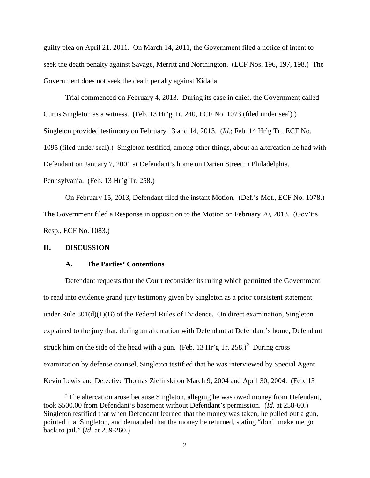guilty plea on April 21, 2011. On March 14, 2011, the Government filed a notice of intent to seek the death penalty against Savage, Merritt and Northington. (ECF Nos. 196, 197, 198.) The Government does not seek the death penalty against Kidada.

Trial commenced on February 4, 2013. During its case in chief, the Government called Curtis Singleton as a witness. (Feb. 13 Hr'g Tr. 240, ECF No. 1073 (filed under seal).) Singleton provided testimony on February 13 and 14, 2013. (*Id*.; Feb. 14 Hr'g Tr., ECF No. 1095 (filed under seal).) Singleton testified, among other things, about an altercation he had with Defendant on January 7, 2001 at Defendant's home on Darien Street in Philadelphia, Pennsylvania. (Feb. 13 Hr'g Tr. 258.)

On February 15, 2013, Defendant filed the instant Motion. (Def.'s Mot., ECF No. 1078.) The Government filed a Response in opposition to the Motion on February 20, 2013. (Gov't's Resp., ECF No. 1083.)

#### **II. DISCUSSION**

## **A. The Parties' Contentions**

Defendant requests that the Court reconsider its ruling which permitted the Government to read into evidence grand jury testimony given by Singleton as a prior consistent statement under Rule  $801(d)(1)(B)$  of the Federal Rules of Evidence. On direct examination, Singleton explained to the jury that, during an altercation with Defendant at Defendant's home, Defendant struck him on the side of the head with a gun. (Feb. 13 Hr'g Tr. [2](#page-1-0)58.)<sup>2</sup> During cross examination by defense counsel, Singleton testified that he was interviewed by Special Agent Kevin Lewis and Detective Thomas Zielinski on March 9, 2004 and April 30, 2004. (Feb. 13

<span id="page-1-0"></span><sup>&</sup>lt;sup>2</sup> The altercation arose because Singleton, alleging he was owed money from Defendant, took \$500.00 from Defendant's basement without Defendant's permission. (*Id*. at 258-60.) Singleton testified that when Defendant learned that the money was taken, he pulled out a gun, pointed it at Singleton, and demanded that the money be returned, stating "don't make me go back to jail." (*Id*. at 259-260.)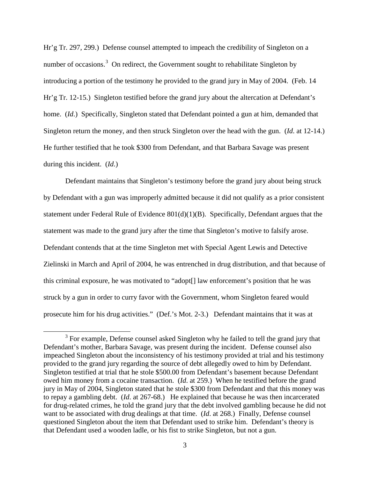Hr'g Tr. 297, 299.) Defense counsel attempted to impeach the credibility of Singleton on a number of occasions.<sup>[3](#page-2-0)</sup> On redirect, the Government sought to rehabilitate Singleton by introducing a portion of the testimony he provided to the grand jury in May of 2004. (Feb. 14 Hr'g Tr. 12-15.) Singleton testified before the grand jury about the altercation at Defendant's home. *(Id.)* Specifically, Singleton stated that Defendant pointed a gun at him, demanded that Singleton return the money, and then struck Singleton over the head with the gun. (*Id*. at 12-14.) He further testified that he took \$300 from Defendant, and that Barbara Savage was present during this incident. (*Id*.)

Defendant maintains that Singleton's testimony before the grand jury about being struck by Defendant with a gun was improperly admitted because it did not qualify as a prior consistent statement under Federal Rule of Evidence 801(d)(1)(B). Specifically, Defendant argues that the statement was made to the grand jury after the time that Singleton's motive to falsify arose. Defendant contends that at the time Singleton met with Special Agent Lewis and Detective Zielinski in March and April of 2004, he was entrenched in drug distribution, and that because of this criminal exposure, he was motivated to "adopt[] law enforcement's position that he was struck by a gun in order to curry favor with the Government, whom Singleton feared would prosecute him for his drug activities." (Def.'s Mot. 2-3.) Defendant maintains that it was at

<span id="page-2-0"></span><sup>&</sup>lt;sup>3</sup> For example, Defense counsel asked Singleton why he failed to tell the grand jury that Defendant's mother, Barbara Savage, was present during the incident. Defense counsel also impeached Singleton about the inconsistency of his testimony provided at trial and his testimony provided to the grand jury regarding the source of debt allegedly owed to him by Defendant. Singleton testified at trial that he stole \$500.00 from Defendant's basement because Defendant owed him money from a cocaine transaction. (*Id*. at 259.) When he testified before the grand jury in May of 2004, Singleton stated that he stole \$300 from Defendant and that this money was to repay a gambling debt. (*Id*. at 267-68.) He explained that because he was then incarcerated for drug-related crimes, he told the grand jury that the debt involved gambling because he did not want to be associated with drug dealings at that time. (*Id*. at 268.) Finally, Defense counsel questioned Singleton about the item that Defendant used to strike him. Defendant's theory is that Defendant used a wooden ladle, or his fist to strike Singleton, but not a gun.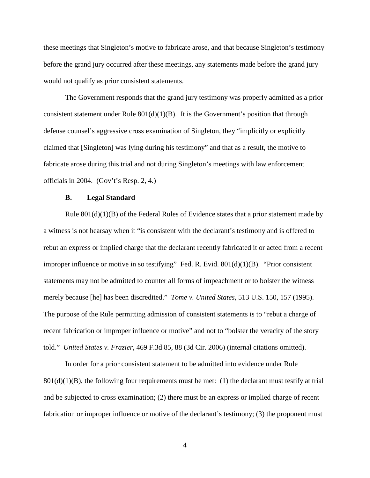these meetings that Singleton's motive to fabricate arose, and that because Singleton's testimony before the grand jury occurred after these meetings, any statements made before the grand jury would not qualify as prior consistent statements.

The Government responds that the grand jury testimony was properly admitted as a prior consistent statement under Rule  $801(d)(1)(B)$ . It is the Government's position that through defense counsel's aggressive cross examination of Singleton, they "implicitly or explicitly claimed that [Singleton] was lying during his testimony" and that as a result, the motive to fabricate arose during this trial and not during Singleton's meetings with law enforcement officials in 2004. (Gov't's Resp. 2, 4.)

#### **B. Legal Standard**

Rule  $801(d)(1)(B)$  of the Federal Rules of Evidence states that a prior statement made by a witness is not hearsay when it "is consistent with the declarant's testimony and is offered to rebut an express or implied charge that the declarant recently fabricated it or acted from a recent improper influence or motive in so testifying" Fed. R. Evid.  $801(d)(1)(B)$ . "Prior consistent statements may not be admitted to counter all forms of impeachment or to bolster the witness merely because [he] has been discredited." *Tome v. United States*, 513 U.S. 150, 157 (1995). The purpose of the Rule permitting admission of consistent statements is to "rebut a charge of recent fabrication or improper influence or motive" and not to "bolster the veracity of the story told." *United States v. Frazier*, 469 F.3d 85, 88 (3d Cir. 2006) (internal citations omitted).

In order for a prior consistent statement to be admitted into evidence under Rule  $801(d)(1)(B)$ , the following four requirements must be met: (1) the declarant must testify at trial and be subjected to cross examination; (2) there must be an express or implied charge of recent fabrication or improper influence or motive of the declarant's testimony; (3) the proponent must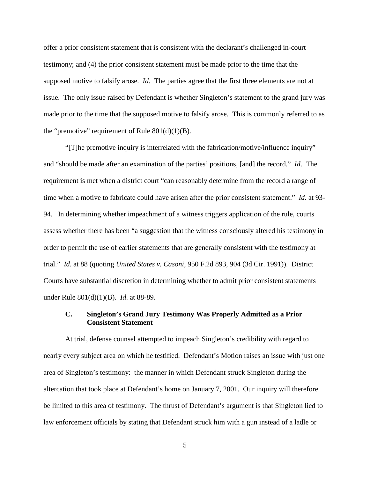offer a prior consistent statement that is consistent with the declarant's challenged in-court testimony; and (4) the prior consistent statement must be made prior to the time that the supposed motive to falsify arose. *Id*. The parties agree that the first three elements are not at issue. The only issue raised by Defendant is whether Singleton's statement to the grand jury was made prior to the time that the supposed motive to falsify arose. This is commonly referred to as the "premotive" requirement of Rule  $801(d)(1)(B)$ .

"[T]he premotive inquiry is interrelated with the fabrication/motive/influence inquiry" and "should be made after an examination of the parties' positions, [and] the record." *Id*. The requirement is met when a district court "can reasonably determine from the record a range of time when a motive to fabricate could have arisen after the prior consistent statement." *Id*. at 93- 94. In determining whether impeachment of a witness triggers application of the rule, courts assess whether there has been "a suggestion that the witness consciously altered his testimony in order to permit the use of earlier statements that are generally consistent with the testimony at trial." *Id*. at 88 (quoting *United States v. Casoni*, 950 F.2d 893, 904 (3d Cir. 1991)). District Courts have substantial discretion in determining whether to admit prior consistent statements under Rule 801(d)(1)(B). *Id*. at 88-89.

## **C. Singleton's Grand Jury Testimony Was Properly Admitted as a Prior Consistent Statement**

At trial, defense counsel attempted to impeach Singleton's credibility with regard to nearly every subject area on which he testified. Defendant's Motion raises an issue with just one area of Singleton's testimony: the manner in which Defendant struck Singleton during the altercation that took place at Defendant's home on January 7, 2001. Our inquiry will therefore be limited to this area of testimony. The thrust of Defendant's argument is that Singleton lied to law enforcement officials by stating that Defendant struck him with a gun instead of a ladle or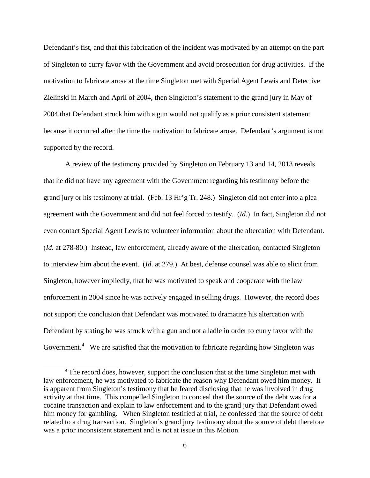Defendant's fist, and that this fabrication of the incident was motivated by an attempt on the part of Singleton to curry favor with the Government and avoid prosecution for drug activities. If the motivation to fabricate arose at the time Singleton met with Special Agent Lewis and Detective Zielinski in March and April of 2004, then Singleton's statement to the grand jury in May of 2004 that Defendant struck him with a gun would not qualify as a prior consistent statement because it occurred after the time the motivation to fabricate arose. Defendant's argument is not supported by the record.

A review of the testimony provided by Singleton on February 13 and 14, 2013 reveals that he did not have any agreement with the Government regarding his testimony before the grand jury or his testimony at trial. (Feb. 13 Hr'g Tr. 248.) Singleton did not enter into a plea agreement with the Government and did not feel forced to testify. (*Id*.) In fact, Singleton did not even contact Special Agent Lewis to volunteer information about the altercation with Defendant. (*Id*. at 278-80.) Instead, law enforcement, already aware of the altercation, contacted Singleton to interview him about the event. (*Id*. at 279.) At best, defense counsel was able to elicit from Singleton, however impliedly, that he was motivated to speak and cooperate with the law enforcement in 2004 since he was actively engaged in selling drugs. However, the record does not support the conclusion that Defendant was motivated to dramatize his altercation with Defendant by stating he was struck with a gun and not a ladle in order to curry favor with the Government.<sup>[4](#page-5-0)</sup> We are satisfied that the motivation to fabricate regarding how Singleton was

<span id="page-5-0"></span> <sup>4</sup> The record does, however, support the conclusion that at the time Singleton met with law enforcement, he was motivated to fabricate the reason why Defendant owed him money. It is apparent from Singleton's testimony that he feared disclosing that he was involved in drug activity at that time. This compelled Singleton to conceal that the source of the debt was for a cocaine transaction and explain to law enforcement and to the grand jury that Defendant owed him money for gambling. When Singleton testified at trial, he confessed that the source of debt related to a drug transaction. Singleton's grand jury testimony about the source of debt therefore was a prior inconsistent statement and is not at issue in this Motion.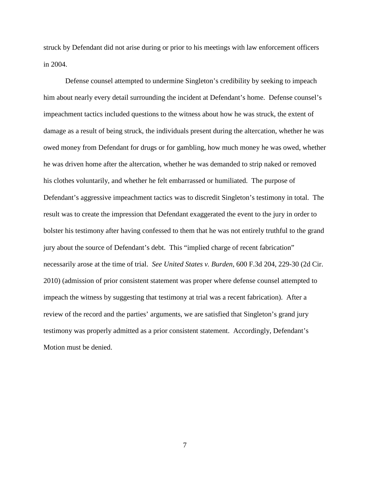struck by Defendant did not arise during or prior to his meetings with law enforcement officers in 2004.

Defense counsel attempted to undermine Singleton's credibility by seeking to impeach him about nearly every detail surrounding the incident at Defendant's home. Defense counsel's impeachment tactics included questions to the witness about how he was struck, the extent of damage as a result of being struck, the individuals present during the altercation, whether he was owed money from Defendant for drugs or for gambling, how much money he was owed, whether he was driven home after the altercation, whether he was demanded to strip naked or removed his clothes voluntarily, and whether he felt embarrassed or humiliated. The purpose of Defendant's aggressive impeachment tactics was to discredit Singleton's testimony in total. The result was to create the impression that Defendant exaggerated the event to the jury in order to bolster his testimony after having confessed to them that he was not entirely truthful to the grand jury about the source of Defendant's debt. This "implied charge of recent fabrication" necessarily arose at the time of trial. *See United States v. Burden*, 600 F.3d 204, 229-30 (2d Cir. 2010) (admission of prior consistent statement was proper where defense counsel attempted to impeach the witness by suggesting that testimony at trial was a recent fabrication). After a review of the record and the parties' arguments, we are satisfied that Singleton's grand jury testimony was properly admitted as a prior consistent statement. Accordingly, Defendant's Motion must be denied.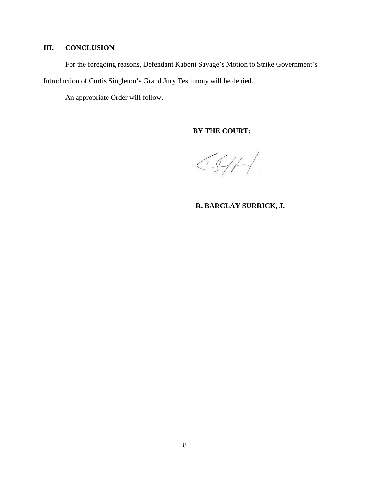# **III. CONCLUSION**

For the foregoing reasons, Defendant Kaboni Savage's Motion to Strike Government's

Introduction of Curtis Singleton's Grand Jury Testimony will be denied.

An appropriate Order will follow.

**BY THE COURT:**

 $CS/H$ 

**R. BARCLAY SURRICK, J.**